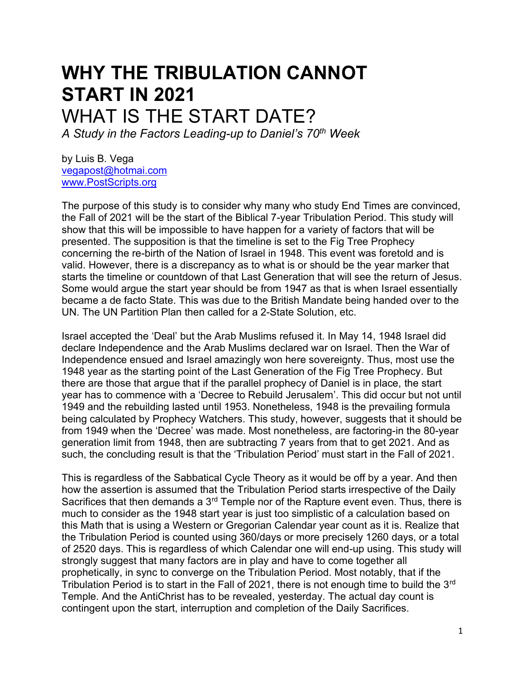# **WHY THE TRIBULATION CANNOT START IN 2021** WHAT IS THE START DATE?

*A Study in the Factors Leading-up to Daniel's 70th Week* 

by Luis B. Vega [vegapost@hotmai.com](mailto:vegapost@hotmai.com) [www.PostScripts.org](http://www.postscripts.org/)

The purpose of this study is to consider why many who study End Times are convinced, the Fall of 2021 will be the start of the Biblical 7-year Tribulation Period. This study will show that this will be impossible to have happen for a variety of factors that will be presented. The supposition is that the timeline is set to the Fig Tree Prophecy concerning the re-birth of the Nation of Israel in 1948. This event was foretold and is valid. However, there is a discrepancy as to what is or should be the year marker that starts the timeline or countdown of that Last Generation that will see the return of Jesus. Some would argue the start year should be from 1947 as that is when Israel essentially became a de facto State. This was due to the British Mandate being handed over to the UN. The UN Partition Plan then called for a 2-State Solution, etc.

Israel accepted the 'Deal' but the Arab Muslims refused it. In May 14, 1948 Israel did declare Independence and the Arab Muslims declared war on Israel. Then the War of Independence ensued and Israel amazingly won here sovereignty. Thus, most use the 1948 year as the starting point of the Last Generation of the Fig Tree Prophecy. But there are those that argue that if the parallel prophecy of Daniel is in place, the start year has to commence with a 'Decree to Rebuild Jerusalem'. This did occur but not until 1949 and the rebuilding lasted until 1953. Nonetheless, 1948 is the prevailing formula being calculated by Prophecy Watchers. This study, however, suggests that it should be from 1949 when the 'Decree' was made. Most nonetheless, are factoring-in the 80-year generation limit from 1948, then are subtracting 7 years from that to get 2021. And as such, the concluding result is that the 'Tribulation Period' must start in the Fall of 2021.

This is regardless of the Sabbatical Cycle Theory as it would be off by a year. And then how the assertion is assumed that the Tribulation Period starts irrespective of the Daily Sacrifices that then demands a  $3<sup>rd</sup>$  Temple nor of the Rapture event even. Thus, there is much to consider as the 1948 start year is just too simplistic of a calculation based on this Math that is using a Western or Gregorian Calendar year count as it is. Realize that the Tribulation Period is counted using 360/days or more precisely 1260 days, or a total of 2520 days. This is regardless of which Calendar one will end-up using. This study will strongly suggest that many factors are in play and have to come together all prophetically, in sync to converge on the Tribulation Period. Most notably, that if the Tribulation Period is to start in the Fall of 2021, there is not enough time to build the 3<sup>rd</sup> Temple. And the AntiChrist has to be revealed, yesterday. The actual day count is contingent upon the start, interruption and completion of the Daily Sacrifices.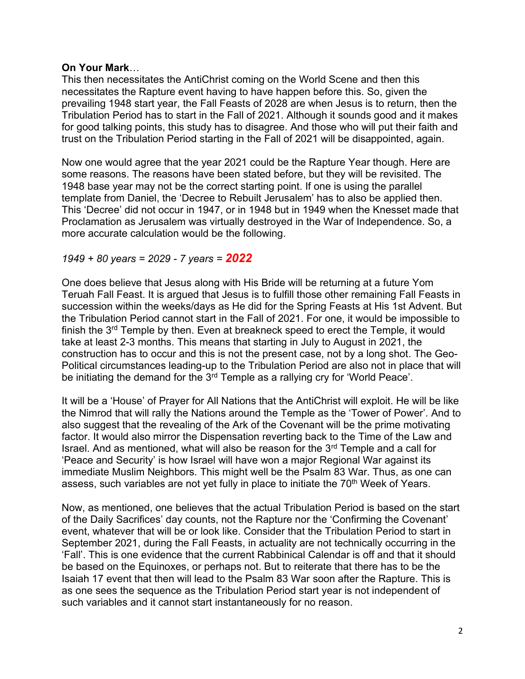## **On Your Mark**…

This then necessitates the AntiChrist coming on the World Scene and then this necessitates the Rapture event having to have happen before this. So, given the prevailing 1948 start year, the Fall Feasts of 2028 are when Jesus is to return, then the Tribulation Period has to start in the Fall of 2021. Although it sounds good and it makes for good talking points, this study has to disagree. And those who will put their faith and trust on the Tribulation Period starting in the Fall of 2021 will be disappointed, again.

Now one would agree that the year 2021 could be the Rapture Year though. Here are some reasons. The reasons have been stated before, but they will be revisited. The 1948 base year may not be the correct starting point. If one is using the parallel template from Daniel, the 'Decree to Rebuilt Jerusalem' has to also be applied then. This 'Decree' did not occur in 1947, or in 1948 but in 1949 when the Knesset made that Proclamation as Jerusalem was virtually destroyed in the War of Independence. So, a more accurate calculation would be the following.

## *1949 + 80 years = 2029 - 7 years = 2022*

One does believe that Jesus along with His Bride will be returning at a future Yom Teruah Fall Feast. It is argued that Jesus is to fulfill those other remaining Fall Feasts in succession within the weeks/days as He did for the Spring Feasts at His 1st Advent. But the Tribulation Period cannot start in the Fall of 2021. For one, it would be impossible to finish the  $3<sup>rd</sup>$  Temple by then. Even at breakneck speed to erect the Temple, it would take at least 2-3 months. This means that starting in July to August in 2021, the construction has to occur and this is not the present case, not by a long shot. The Geo-Political circumstances leading-up to the Tribulation Period are also not in place that will be initiating the demand for the 3<sup>rd</sup> Temple as a rallying cry for 'World Peace'.

It will be a 'House' of Prayer for All Nations that the AntiChrist will exploit. He will be like the Nimrod that will rally the Nations around the Temple as the 'Tower of Power'. And to also suggest that the revealing of the Ark of the Covenant will be the prime motivating factor. It would also mirror the Dispensation reverting back to the Time of the Law and Israel. And as mentioned, what will also be reason for the  $3<sup>rd</sup>$  Temple and a call for 'Peace and Security' is how Israel will have won a major Regional War against its immediate Muslim Neighbors. This might well be the Psalm 83 War. Thus, as one can assess, such variables are not yet fully in place to initiate the 70<sup>th</sup> Week of Years.

Now, as mentioned, one believes that the actual Tribulation Period is based on the start of the Daily Sacrifices' day counts, not the Rapture nor the 'Confirming the Covenant' event, whatever that will be or look like. Consider that the Tribulation Period to start in September 2021, during the Fall Feasts, in actuality are not technically occurring in the 'Fall'. This is one evidence that the current Rabbinical Calendar is off and that it should be based on the Equinoxes, or perhaps not. But to reiterate that there has to be the Isaiah 17 event that then will lead to the Psalm 83 War soon after the Rapture. This is as one sees the sequence as the Tribulation Period start year is not independent of such variables and it cannot start instantaneously for no reason.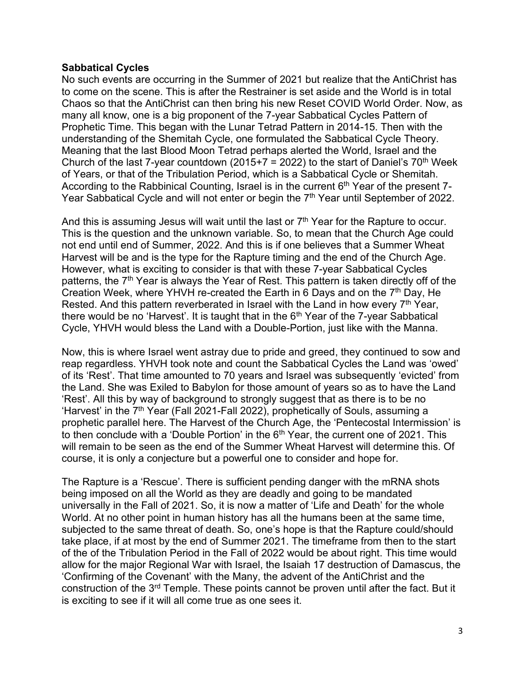## **Sabbatical Cycles**

No such events are occurring in the Summer of 2021 but realize that the AntiChrist has to come on the scene. This is after the Restrainer is set aside and the World is in total Chaos so that the AntiChrist can then bring his new Reset COVID World Order. Now, as many all know, one is a big proponent of the 7-year Sabbatical Cycles Pattern of Prophetic Time. This began with the Lunar Tetrad Pattern in 2014-15. Then with the understanding of the Shemitah Cycle, one formulated the Sabbatical Cycle Theory. Meaning that the last Blood Moon Tetrad perhaps alerted the World, Israel and the Church of the last 7-year countdown (2015+7 = 2022) to the start of Daniel's  $70<sup>th</sup>$  Week of Years, or that of the Tribulation Period, which is a Sabbatical Cycle or Shemitah. According to the Rabbinical Counting, Israel is in the current  $6<sup>th</sup>$  Year of the present 7-Year Sabbatical Cycle and will not enter or begin the  $7<sup>th</sup>$  Year until September of 2022.

And this is assuming Jesus will wait until the last or  $7<sup>th</sup>$  Year for the Rapture to occur. This is the question and the unknown variable. So, to mean that the Church Age could not end until end of Summer, 2022. And this is if one believes that a Summer Wheat Harvest will be and is the type for the Rapture timing and the end of the Church Age. However, what is exciting to consider is that with these 7-year Sabbatical Cycles patterns, the  $7<sup>th</sup>$  Year is always the Year of Rest. This pattern is taken directly off of the Creation Week, where YHVH re-created the Earth in 6 Days and on the  $7<sup>th</sup>$  Day, He Rested. And this pattern reverberated in Israel with the Land in how every 7<sup>th</sup> Year, there would be no 'Harvest'. It is taught that in the  $6<sup>th</sup>$  Year of the 7-year Sabbatical Cycle, YHVH would bless the Land with a Double-Portion, just like with the Manna.

Now, this is where Israel went astray due to pride and greed, they continued to sow and reap regardless. YHVH took note and count the Sabbatical Cycles the Land was 'owed' of its 'Rest'. That time amounted to 70 years and Israel was subsequently 'evicted' from the Land. She was Exiled to Babylon for those amount of years so as to have the Land 'Rest'. All this by way of background to strongly suggest that as there is to be no 'Harvest' in the 7<sup>th</sup> Year (Fall 2021-Fall 2022), prophetically of Souls, assuming a prophetic parallel here. The Harvest of the Church Age, the 'Pentecostal Intermission' is to then conclude with a 'Double Portion' in the  $6<sup>th</sup>$  Year, the current one of 2021. This will remain to be seen as the end of the Summer Wheat Harvest will determine this. Of course, it is only a conjecture but a powerful one to consider and hope for.

The Rapture is a 'Rescue'. There is sufficient pending danger with the mRNA shots being imposed on all the World as they are deadly and going to be mandated universally in the Fall of 2021. So, it is now a matter of 'Life and Death' for the whole World. At no other point in human history has all the humans been at the same time, subjected to the same threat of death. So, one's hope is that the Rapture could/should take place, if at most by the end of Summer 2021. The timeframe from then to the start of the of the Tribulation Period in the Fall of 2022 would be about right. This time would allow for the major Regional War with Israel, the Isaiah 17 destruction of Damascus, the 'Confirming of the Covenant' with the Many, the advent of the AntiChrist and the construction of the 3<sup>rd</sup> Temple. These points cannot be proven until after the fact. But it is exciting to see if it will all come true as one sees it.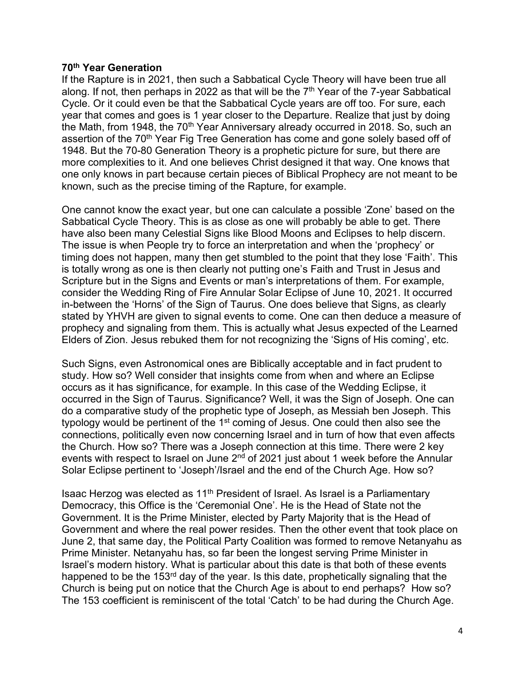#### **70th Year Generation**

If the Rapture is in 2021, then such a Sabbatical Cycle Theory will have been true all along. If not, then perhaps in 2022 as that will be the  $7<sup>th</sup>$  Year of the 7-year Sabbatical Cycle. Or it could even be that the Sabbatical Cycle years are off too. For sure, each year that comes and goes is 1 year closer to the Departure. Realize that just by doing the Math, from 1948, the 70<sup>th</sup> Year Anniversary already occurred in 2018. So, such an assertion of the 70<sup>th</sup> Year Fig Tree Generation has come and gone solely based off of 1948. But the 70-80 Generation Theory is a prophetic picture for sure, but there are more complexities to it. And one believes Christ designed it that way. One knows that one only knows in part because certain pieces of Biblical Prophecy are not meant to be known, such as the precise timing of the Rapture, for example.

One cannot know the exact year, but one can calculate a possible 'Zone' based on the Sabbatical Cycle Theory. This is as close as one will probably be able to get. There have also been many Celestial Signs like Blood Moons and Eclipses to help discern. The issue is when People try to force an interpretation and when the 'prophecy' or timing does not happen, many then get stumbled to the point that they lose 'Faith'. This is totally wrong as one is then clearly not putting one's Faith and Trust in Jesus and Scripture but in the Signs and Events or man's interpretations of them. For example, consider the Wedding Ring of Fire Annular Solar Eclipse of June 10, 2021. It occurred in-between the 'Horns' of the Sign of Taurus. One does believe that Signs, as clearly stated by YHVH are given to signal events to come. One can then deduce a measure of prophecy and signaling from them. This is actually what Jesus expected of the Learned Elders of Zion. Jesus rebuked them for not recognizing the 'Signs of His coming', etc.

Such Signs, even Astronomical ones are Biblically acceptable and in fact prudent to study. How so? Well consider that insights come from when and where an Eclipse occurs as it has significance, for example. In this case of the Wedding Eclipse, it occurred in the Sign of Taurus. Significance? Well, it was the Sign of Joseph. One can do a comparative study of the prophetic type of Joseph, as Messiah ben Joseph. This typology would be pertinent of the 1<sup>st</sup> coming of Jesus. One could then also see the connections, politically even now concerning Israel and in turn of how that even affects the Church. How so? There was a Joseph connection at this time. There were 2 key events with respect to Israel on June  $2<sup>nd</sup>$  of 2021 just about 1 week before the Annular Solar Eclipse pertinent to 'Joseph'/Israel and the end of the Church Age. How so?

Isaac Herzog was elected as 11th President of Israel. As Israel is a Parliamentary Democracy, this Office is the 'Ceremonial One'. He is the Head of State not the Government. It is the Prime Minister, elected by Party Majority that is the Head of Government and where the real power resides. Then the other event that took place on June 2, that same day, the Political Party Coalition was formed to remove Netanyahu as Prime Minister. Netanyahu has, so far been the longest serving Prime Minister in Israel's modern history. What is particular about this date is that both of these events happened to be the 153<sup>rd</sup> day of the year. Is this date, prophetically signaling that the Church is being put on notice that the Church Age is about to end perhaps? How so? The 153 coefficient is reminiscent of the total 'Catch' to be had during the Church Age.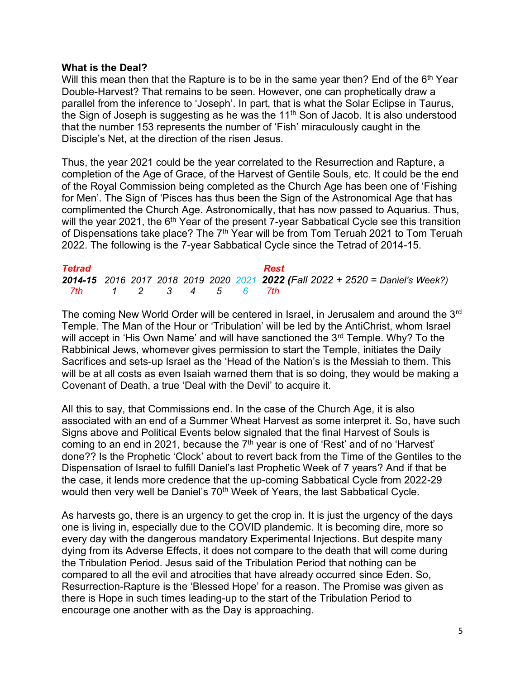### **What is the Deal?**

Will this mean then that the Rapture is to be in the same year then? End of the  $6<sup>th</sup>$  Year Double-Harvest? That remains to be seen. However, one can prophetically draw a parallel from the inference to 'Joseph'. In part, that is what the Solar Eclipse in Taurus, the Sign of Joseph is suggesting as he was the  $11<sup>th</sup>$  Son of Jacob. It is also understood that the number 153 represents the number of 'Fish' miraculously caught in the Disciple's Net, at the direction of the risen Jesus.

Thus, the year 2021 could be the year correlated to the Resurrection and Rapture, a completion of the Age of Grace, of the Harvest of Gentile Souls, etc. It could be the end of the Royal Commission being completed as the Church Age has been one of 'Fishing for Men'. The Sign of 'Pisces has thus been the Sign of the Astronomical Age that has complimented the Church Age. Astronomically, that has now passed to Aquarius. Thus, will the year 2021, the  $6<sup>th</sup>$  Year of the present 7-year Sabbatical Cycle see this transition of Dispensations take place? The 7<sup>th</sup> Year will be from Tom Teruah 2021 to Tom Teruah 2022. The following is the 7-year Sabbatical Cycle since the Tetrad of 2014-15.

| <b>Tetrad</b>       |  |  |  | Rest                                                                           |
|---------------------|--|--|--|--------------------------------------------------------------------------------|
|                     |  |  |  | 2014-15 2016 2017 2018 2019 2020 2021 2022 (Fall 2022 + 2520 = Daniel's Week?) |
| 7th 1 2 3 4 5 6 7th |  |  |  |                                                                                |

The coming New World Order will be centered in Israel, in Jerusalem and around the 3<sup>rd</sup> Temple. The Man of the Hour or 'Tribulation' will be led by the AntiChrist, whom Israel will accept in 'His Own Name' and will have sanctioned the 3<sup>rd</sup> Temple. Why? To the Rabbinical Jews, whomever gives permission to start the Temple, initiates the Daily Sacrifices and sets-up Israel as the 'Head of the Nation's is the Messiah to them. This will be at all costs as even Isaiah warned them that is so doing, they would be making a Covenant of Death, a true 'Deal with the Devil' to acquire it.

All this to say, that Commissions end. In the case of the Church Age, it is also associated with an end of a Summer Wheat Harvest as some interpret it. So, have such Signs above and Political Events below signaled that the final Harvest of Souls is coming to an end in 2021, because the  $7<sup>th</sup>$  year is one of 'Rest' and of no 'Harvest' done?? Is the Prophetic 'Clock' about to revert back from the Time of the Gentiles to the Dispensation of Israel to fulfill Daniel's last Prophetic Week of 7 years? And if that be the case, it lends more credence that the up-coming Sabbatical Cycle from 2022-29 would then very well be Daniel's 70<sup>th</sup> Week of Years, the last Sabbatical Cycle.

As harvests go, there is an urgency to get the crop in. It is just the urgency of the days one is living in, especially due to the COVID plandemic. It is becoming dire, more so every day with the dangerous mandatory Experimental Injections. But despite many dying from its Adverse Effects, it does not compare to the death that will come during the Tribulation Period. Jesus said of the Tribulation Period that nothing can be compared to all the evil and atrocities that have already occurred since Eden. So, Resurrection-Rapture is the 'Blessed Hope' for a reason. The Promise was given as there is Hope in such times leading-up to the start of the Tribulation Period to encourage one another with as the Day is approaching.